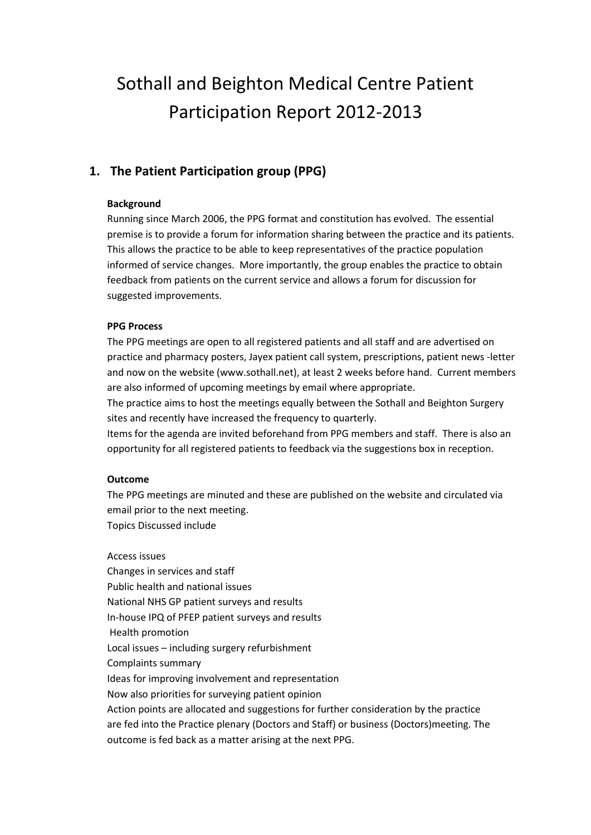# Sothall and Beighton Medical Centre Patient Participation Report 2012-2013

## **1. The Patient Participation group (PPG)**

#### **Background**

Running since March 2006, the PPG format and constitution has evolved. The essential premise is to provide a forum for information sharing between the practice and its patients. This allows the practice to be able to keep representatives of the practice population informed of service changes. More importantly, the group enables the practice to obtain feedback from patients on the current service and allows a forum for discussion for suggested improvements.

#### **PPG Process**

The PPG meetings are open to all registered patients and all staff and are advertised on practice and pharmacy posters, Jayex patient call system, prescriptions, patient news -letter and now on the website (www.sothall.net), at least 2 weeks before hand. Current members are also informed of upcoming meetings by email where appropriate.

The practice aims to host the meetings equally between the Sothall and Beighton Surgery sites and recently have increased the frequency to quarterly.

Items for the agenda are invited beforehand from PPG members and staff. There is also an opportunity for all registered patients to feedback via the suggestions box in reception.

#### **Outcome**

The PPG meetings are minuted and these are published on the website and circulated via email prior to the next meeting. Topics Discussed include

Access issues Changes in services and staff Public health and national issues National NHS GP patient surveys and results In-house IPQ of PFEP patient surveys and results Health promotion Local issues – including surgery refurbishment Complaints summary Ideas for improving involvement and representation Now also priorities for surveying patient opinion Action points are allocated and suggestions for further consideration by the practice are fed into the Practice plenary (Doctors and Staff) or business (Doctors)meeting. The outcome is fed back as a matter arising at the next PPG.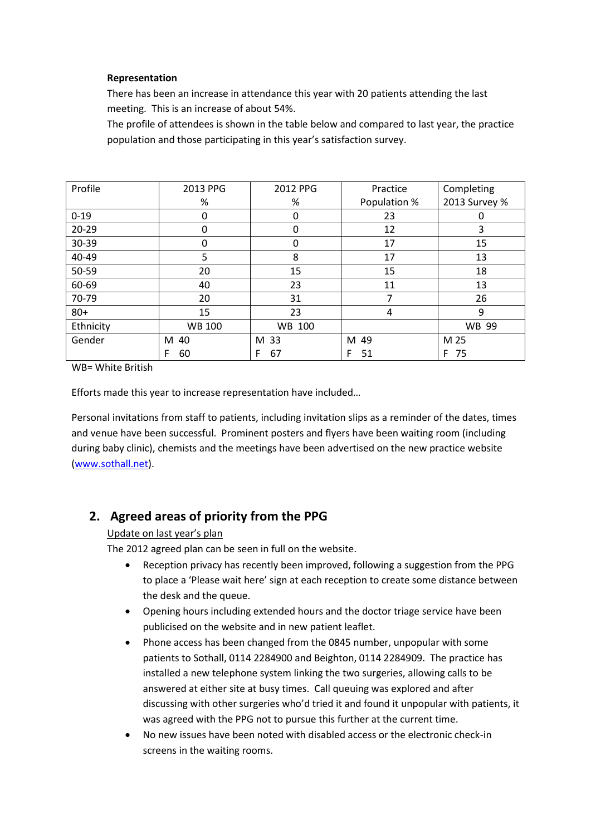#### **Representation**

There has been an increase in attendance this year with 20 patients attending the last meeting. This is an increase of about 54%.

The profile of attendees is shown in the table below and compared to last year, the practice population and those participating in this year's satisfaction survey.

| Profile   | 2013 PPG      | 2012 PPG | Practice     | Completing    |
|-----------|---------------|----------|--------------|---------------|
|           | $\%$          | $\%$     | Population % | 2013 Survey % |
| $0 - 19$  | 0             | 0        | 23           | 0             |
| $20 - 29$ | 0             | 0        | 12           | 3             |
| 30-39     | 0             | 0        | 17           | 15            |
| 40-49     | 5             | 8        | 17           | 13            |
| 50-59     | 20            | 15       | 15           | 18            |
| 60-69     | 40            | 23       | 11           | 13            |
| 70-79     | 20            | 31       | 7            | 26            |
| $80 +$    | 15            | 23       | 4            | 9             |
| Ethnicity | <b>WB 100</b> | WB 100   |              | <b>WB 99</b>  |
| Gender    | M 40          | M 33     | M<br>49      | M 25          |
|           | F<br>60       | 67<br>F  | 51<br>F      | 75<br>F.      |

WB= White British

Efforts made this year to increase representation have included…

Personal invitations from staff to patients, including invitation slips as a reminder of the dates, times and venue have been successful. Prominent posters and flyers have been waiting room (including during baby clinic), chemists and the meetings have been advertised on the new practice website [\(www.sothall.net\)](http://www.sothall.net/).

## **2. Agreed areas of priority from the PPG**

#### Update on last year's plan

The 2012 agreed plan can be seen in full on the website.

- Reception privacy has recently been improved, following a suggestion from the PPG to place a 'Please wait here' sign at each reception to create some distance between the desk and the queue.
- Opening hours including extended hours and the doctor triage service have been publicised on the website and in new patient leaflet.
- Phone access has been changed from the 0845 number, unpopular with some patients to Sothall, 0114 2284900 and Beighton, 0114 2284909. The practice has installed a new telephone system linking the two surgeries, allowing calls to be answered at either site at busy times. Call queuing was explored and after discussing with other surgeries who'd tried it and found it unpopular with patients, it was agreed with the PPG not to pursue this further at the current time.
- No new issues have been noted with disabled access or the electronic check-in screens in the waiting rooms.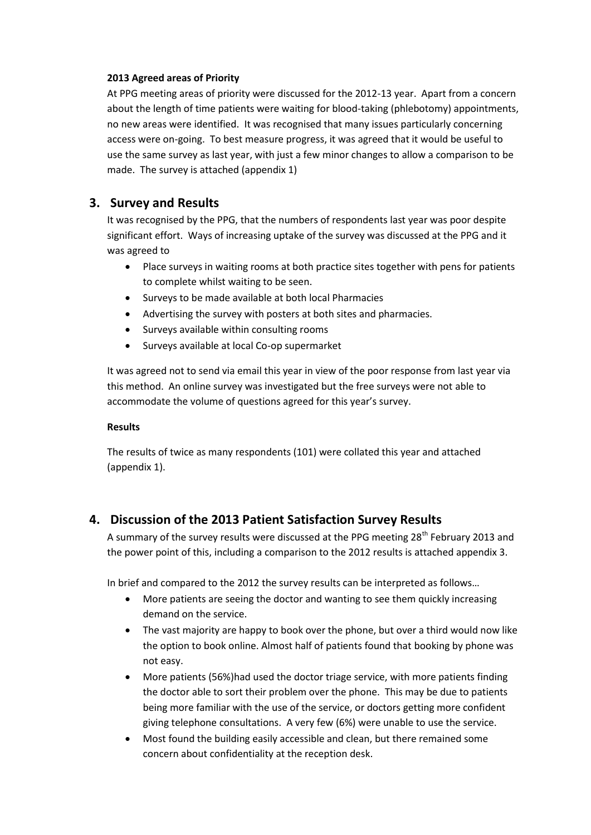#### **2013 Agreed areas of Priority**

At PPG meeting areas of priority were discussed for the 2012-13 year. Apart from a concern about the length of time patients were waiting for blood-taking (phlebotomy) appointments, no new areas were identified. It was recognised that many issues particularly concerning access were on-going. To best measure progress, it was agreed that it would be useful to use the same survey as last year, with just a few minor changes to allow a comparison to be made. The survey is attached (appendix 1)

## **3. Survey and Results**

It was recognised by the PPG, that the numbers of respondents last year was poor despite significant effort. Ways of increasing uptake of the survey was discussed at the PPG and it was agreed to

- Place surveys in waiting rooms at both practice sites together with pens for patients to complete whilst waiting to be seen.
- Surveys to be made available at both local Pharmacies
- Advertising the survey with posters at both sites and pharmacies.
- Surveys available within consulting rooms
- Surveys available at local Co-op supermarket

It was agreed not to send via email this year in view of the poor response from last year via this method. An online survey was investigated but the free surveys were not able to accommodate the volume of questions agreed for this year's survey.

#### **Results**

The results of twice as many respondents (101) were collated this year and attached (appendix 1).

## **4. Discussion of the 2013 Patient Satisfaction Survey Results**

A summary of the survey results were discussed at the PPG meeting 28<sup>th</sup> February 2013 and the power point of this, including a comparison to the 2012 results is attached appendix 3.

In brief and compared to the 2012 the survey results can be interpreted as follows…

- More patients are seeing the doctor and wanting to see them quickly increasing demand on the service.
- The vast majority are happy to book over the phone, but over a third would now like the option to book online. Almost half of patients found that booking by phone was not easy.
- More patients (56%)had used the doctor triage service, with more patients finding the doctor able to sort their problem over the phone. This may be due to patients being more familiar with the use of the service, or doctors getting more confident giving telephone consultations. A very few (6%) were unable to use the service.
- Most found the building easily accessible and clean, but there remained some concern about confidentiality at the reception desk.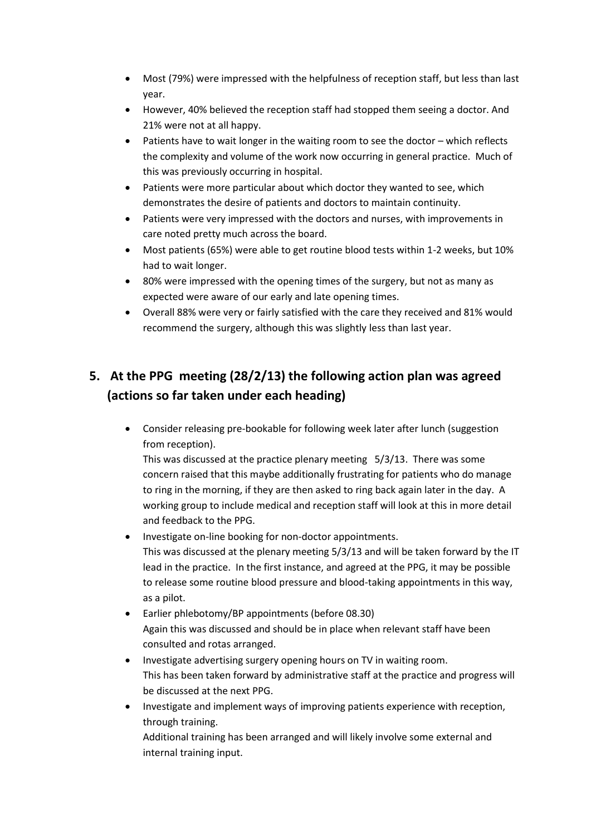- Most (79%) were impressed with the helpfulness of reception staff, but less than last year.
- However, 40% believed the reception staff had stopped them seeing a doctor. And 21% were not at all happy.
- Patients have to wait longer in the waiting room to see the doctor which reflects the complexity and volume of the work now occurring in general practice. Much of this was previously occurring in hospital.
- Patients were more particular about which doctor they wanted to see, which demonstrates the desire of patients and doctors to maintain continuity.
- Patients were very impressed with the doctors and nurses, with improvements in care noted pretty much across the board.
- Most patients (65%) were able to get routine blood tests within 1-2 weeks, but 10% had to wait longer.
- 80% were impressed with the opening times of the surgery, but not as many as expected were aware of our early and late opening times.
- Overall 88% were very or fairly satisfied with the care they received and 81% would recommend the surgery, although this was slightly less than last year.

## **5. At the PPG meeting (28/2/13) the following action plan was agreed (actions so far taken under each heading)**

 Consider releasing pre-bookable for following week later after lunch (suggestion from reception).

This was discussed at the practice plenary meeting 5/3/13. There was some concern raised that this maybe additionally frustrating for patients who do manage to ring in the morning, if they are then asked to ring back again later in the day. A working group to include medical and reception staff will look at this in more detail and feedback to the PPG.

- Investigate on-line booking for non-doctor appointments. This was discussed at the plenary meeting 5/3/13 and will be taken forward by the IT lead in the practice. In the first instance, and agreed at the PPG, it may be possible to release some routine blood pressure and blood-taking appointments in this way, as a pilot.
- Earlier phlebotomy/BP appointments (before 08.30) Again this was discussed and should be in place when relevant staff have been consulted and rotas arranged.
- Investigate advertising surgery opening hours on TV in waiting room. This has been taken forward by administrative staff at the practice and progress will be discussed at the next PPG.
- Investigate and implement ways of improving patients experience with reception, through training.

Additional training has been arranged and will likely involve some external and internal training input.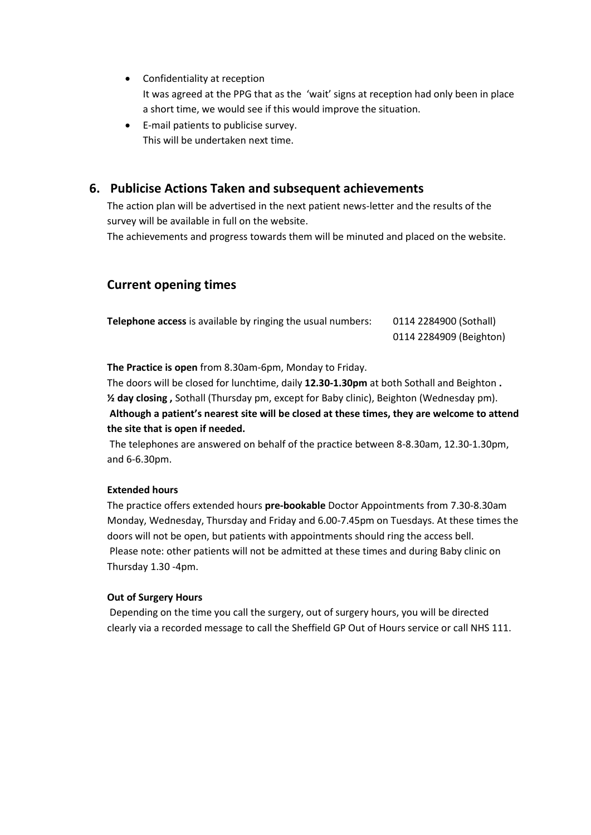- Confidentiality at reception It was agreed at the PPG that as the 'wait' signs at reception had only been in place a short time, we would see if this would improve the situation.
- E-mail patients to publicise survey. This will be undertaken next time.

### **6. Publicise Actions Taken and subsequent achievements**

The action plan will be advertised in the next patient news-letter and the results of the survey will be available in full on the website.

The achievements and progress towards them will be minuted and placed on the website.

### **Current opening times**

| <b>Telephone access</b> is available by ringing the usual numbers: | 0114 2284900 (Sothall)  |
|--------------------------------------------------------------------|-------------------------|
|                                                                    | 0114 2284909 (Beighton) |

**The Practice is open** from 8.30am-6pm, Monday to Friday.

The doors will be closed for lunchtime, daily **12.30-1.30pm** at both Sothall and Beighton **. ½ day closing ,** Sothall (Thursday pm, except for Baby clinic), Beighton (Wednesday pm).

**Although a patient's nearest site will be closed at these times, they are welcome to attend the site that is open if needed.**

The telephones are answered on behalf of the practice between 8-8.30am, 12.30-1.30pm, and 6-6.30pm.

#### **Extended hours**

The practice offers extended hours **pre-bookable** Doctor Appointments from 7.30-8.30am Monday, Wednesday, Thursday and Friday and 6.00-7.45pm on Tuesdays. At these times the doors will not be open, but patients with appointments should ring the access bell. Please note: other patients will not be admitted at these times and during Baby clinic on Thursday 1.30 -4pm.

#### **Out of Surgery Hours**

Depending on the time you call the surgery, out of surgery hours, you will be directed clearly via a recorded message to call the Sheffield GP Out of Hours service or call NHS 111.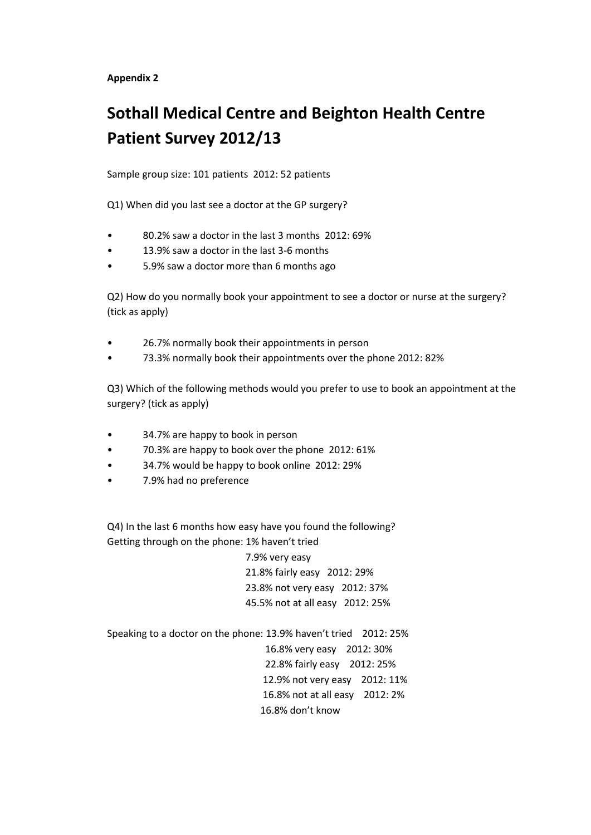## **Sothall Medical Centre and Beighton Health Centre Patient Survey 2012/13**

Sample group size: 101 patients 2012: 52 patients

Q1) When did you last see a doctor at the GP surgery?

- 80.2% saw a doctor in the last 3 months 2012: 69%
- 13.9% saw a doctor in the last 3-6 months
- 5.9% saw a doctor more than 6 months ago

Q2) How do you normally book your appointment to see a doctor or nurse at the surgery? (tick as apply)

- 26.7% normally book their appointments in person
- 73.3% normally book their appointments over the phone 2012: 82%

Q3) Which of the following methods would you prefer to use to book an appointment at the surgery? (tick as apply)

- 34.7% are happy to book in person
- 70.3% are happy to book over the phone 2012: 61%
- 34.7% would be happy to book online 2012: 29%
- 7.9% had no preference

Q4) In the last 6 months how easy have you found the following? Getting through on the phone: 1% haven't tried

> 7.9% very easy 21.8% fairly easy 2012: 29% 23.8% not very easy 2012: 37% 45.5% not at all easy 2012: 25%

Speaking to a doctor on the phone: 13.9% haven't tried 2012: 25% 16.8% very easy 2012: 30% 22.8% fairly easy 2012: 25% 12.9% not very easy 2012: 11% 16.8% not at all easy 2012: 2% 16.8% don't know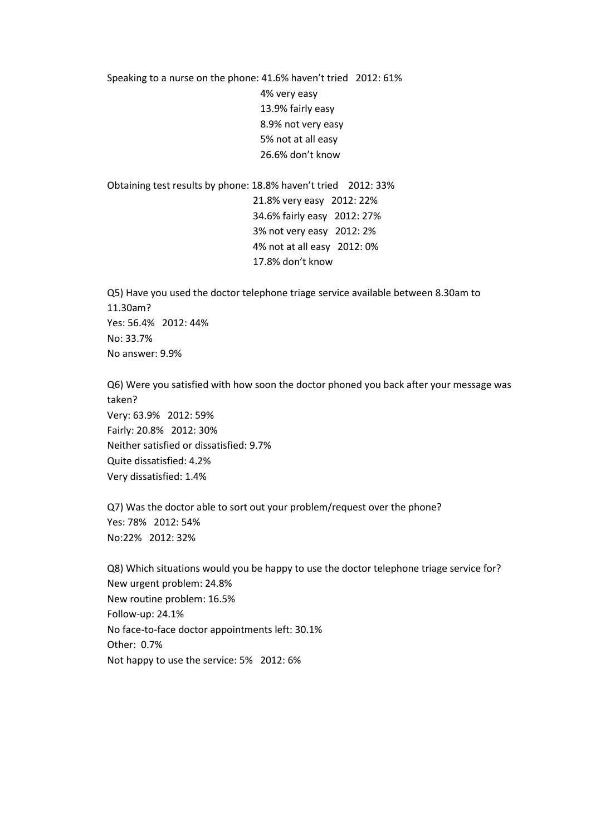Speaking to a nurse on the phone: 41.6% haven't tried 2012: 61% 4% very easy 13.9% fairly easy 8.9% not very easy 5% not at all easy 26.6% don't know

Obtaining test results by phone: 18.8% haven't tried 2012: 33% 21.8% very easy 2012: 22% 34.6% fairly easy 2012: 27% 3% not very easy 2012: 2% 4% not at all easy 2012: 0% 17.8% don't know

Q5) Have you used the doctor telephone triage service available between 8.30am to 11.30am? Yes: 56.4% 2012: 44% No: 33.7% No answer: 9.9%

Q6) Were you satisfied with how soon the doctor phoned you back after your message was taken? Very: 63.9% 2012: 59% Fairly: 20.8% 2012: 30% Neither satisfied or dissatisfied: 9.7% Quite dissatisfied: 4.2% Very dissatisfied: 1.4%

Q7) Was the doctor able to sort out your problem/request over the phone? Yes: 78% 2012: 54% No:22% 2012: 32%

Q8) Which situations would you be happy to use the doctor telephone triage service for? New urgent problem: 24.8% New routine problem: 16.5% Follow-up: 24.1% No face-to-face doctor appointments left: 30.1% Other: 0.7% Not happy to use the service: 5% 2012: 6%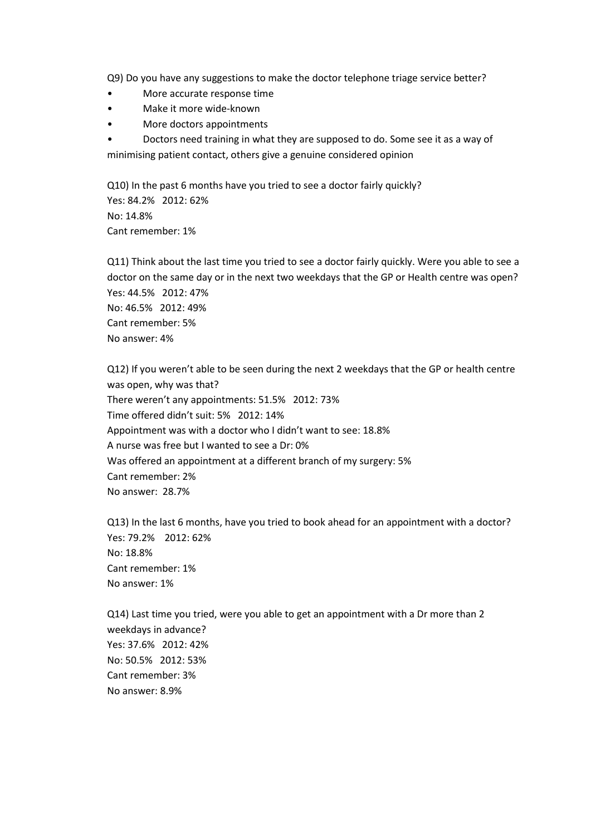Q9) Do you have any suggestions to make the doctor telephone triage service better?

- More accurate response time
- Make it more wide-known
- More doctors appointments
- Doctors need training in what they are supposed to do. Some see it as a way of minimising patient contact, others give a genuine considered opinion

Q10) In the past 6 months have you tried to see a doctor fairly quickly? Yes: 84.2% 2012: 62% No: 14.8% Cant remember: 1%

Q11) Think about the last time you tried to see a doctor fairly quickly. Were you able to see a doctor on the same day or in the next two weekdays that the GP or Health centre was open? Yes: 44.5% 2012: 47% No: 46.5% 2012: 49% Cant remember: 5% No answer: 4%

Q12) If you weren't able to be seen during the next 2 weekdays that the GP or health centre was open, why was that? There weren't any appointments: 51.5% 2012: 73% Time offered didn't suit: 5% 2012: 14% Appointment was with a doctor who I didn't want to see: 18.8% A nurse was free but I wanted to see a Dr: 0% Was offered an appointment at a different branch of my surgery: 5% Cant remember: 2% No answer: 28.7%

Q13) In the last 6 months, have you tried to book ahead for an appointment with a doctor? Yes: 79.2% 2012: 62% No: 18.8% Cant remember: 1% No answer: 1%

Q14) Last time you tried, were you able to get an appointment with a Dr more than 2 weekdays in advance? Yes: 37.6% 2012: 42% No: 50.5% 2012: 53% Cant remember: 3% No answer: 8.9%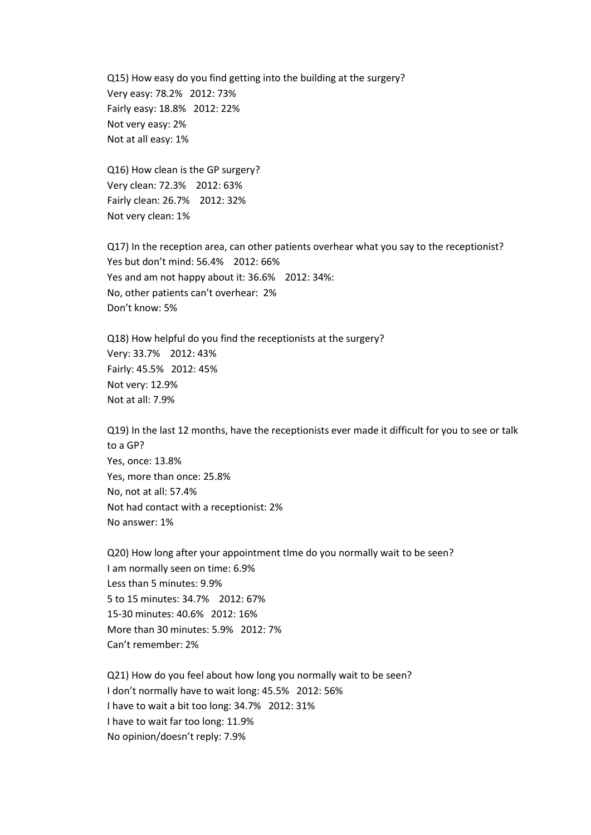Q15) How easy do you find getting into the building at the surgery? Very easy: 78.2% 2012: 73% Fairly easy: 18.8% 2012: 22% Not very easy: 2% Not at all easy: 1%

Q16) How clean is the GP surgery? Very clean: 72.3% 2012: 63% Fairly clean: 26.7% 2012: 32% Not very clean: 1%

Q17) In the reception area, can other patients overhear what you say to the receptionist? Yes but don't mind: 56.4% 2012: 66% Yes and am not happy about it: 36.6% 2012: 34%: No, other patients can't overhear: 2% Don't know: 5%

Q18) How helpful do you find the receptionists at the surgery? Very: 33.7% 2012: 43% Fairly: 45.5% 2012: 45% Not very: 12.9% Not at all: 7.9%

Q19) In the last 12 months, have the receptionists ever made it difficult for you to see or talk to a GP? Yes, once: 13.8% Yes, more than once: 25.8% No, not at all: 57.4% Not had contact with a receptionist: 2% No answer: 1%

Q20) How long after your appointment tIme do you normally wait to be seen? I am normally seen on time: 6.9% Less than 5 minutes: 9.9% 5 to 15 minutes: 34.7% 2012: 67% 15-30 minutes: 40.6% 2012: 16% More than 30 minutes: 5.9% 2012: 7% Can't remember: 2%

Q21) How do you feel about how long you normally wait to be seen? I don't normally have to wait long: 45.5% 2012: 56% I have to wait a bit too long: 34.7% 2012: 31% I have to wait far too long: 11.9% No opinion/doesn't reply: 7.9%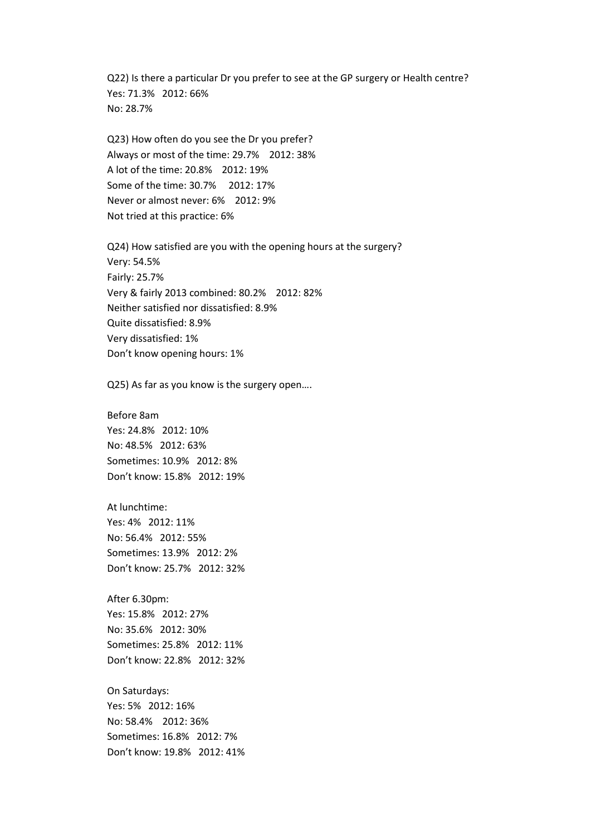Q22) Is there a particular Dr you prefer to see at the GP surgery or Health centre? Yes: 71.3% 2012: 66% No: 28.7%

Q23) How often do you see the Dr you prefer? Always or most of the time: 29.7% 2012: 38% A lot of the time: 20.8% 2012: 19% Some of the time: 30.7% 2012: 17% Never or almost never: 6% 2012: 9% Not tried at this practice: 6%

Q24) How satisfied are you with the opening hours at the surgery? Very: 54.5% Fairly: 25.7% Very & fairly 2013 combined: 80.2% 2012: 82% Neither satisfied nor dissatisfied: 8.9% Quite dissatisfied: 8.9% Very dissatisfied: 1% Don't know opening hours: 1%

Q25) As far as you know is the surgery open….

Before 8am Yes: 24.8% 2012: 10% No: 48.5% 2012: 63% Sometimes: 10.9% 2012: 8% Don't know: 15.8% 2012: 19%

At lunchtime: Yes: 4% 2012: 11% No: 56.4% 2012: 55% Sometimes: 13.9% 2012: 2% Don't know: 25.7% 2012: 32%

After 6.30pm: Yes: 15.8% 2012: 27% No: 35.6% 2012: 30% Sometimes: 25.8% 2012: 11% Don't know: 22.8% 2012: 32%

On Saturdays: Yes: 5% 2012: 16% No: 58.4% 2012: 36% Sometimes: 16.8% 2012: 7% Don't know: 19.8% 2012: 41%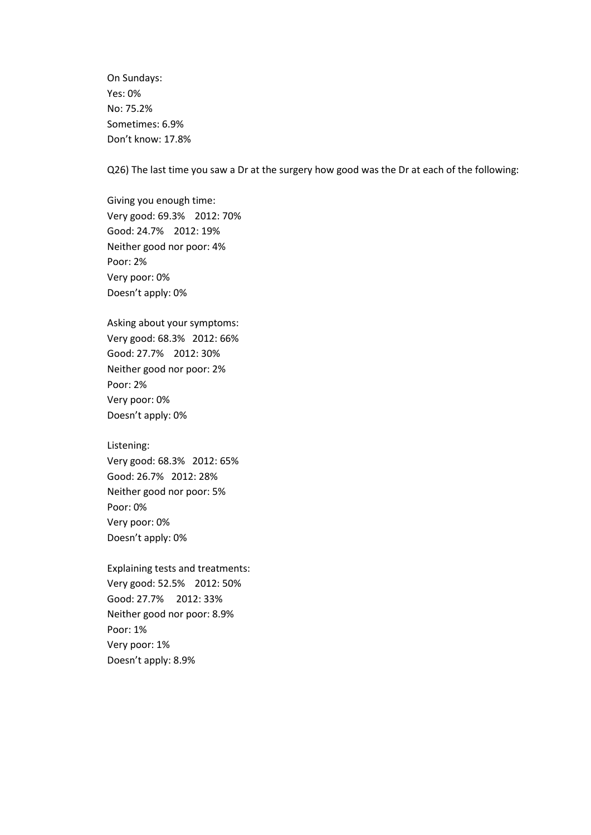On Sundays: Yes: 0% No: 75.2% Sometimes: 6.9% Don't know: 17.8%

Q26) The last time you saw a Dr at the surgery how good was the Dr at each of the following:

Giving you enough time: Very good: 69.3% 2012: 70% Good: 24.7% 2012: 19% Neither good nor poor: 4% Poor: 2% Very poor: 0% Doesn't apply: 0%

Asking about your symptoms: Very good: 68.3% 2012: 66% Good: 27.7% 2012: 30% Neither good nor poor: 2% Poor: 2% Very poor: 0% Doesn't apply: 0%

Listening:

Very good: 68.3% 2012: 65% Good: 26.7% 2012: 28% Neither good nor poor: 5% Poor: 0% Very poor: 0% Doesn't apply: 0%

Explaining tests and treatments: Very good: 52.5% 2012: 50% Good: 27.7% 2012: 33% Neither good nor poor: 8.9% Poor: 1% Very poor: 1% Doesn't apply: 8.9%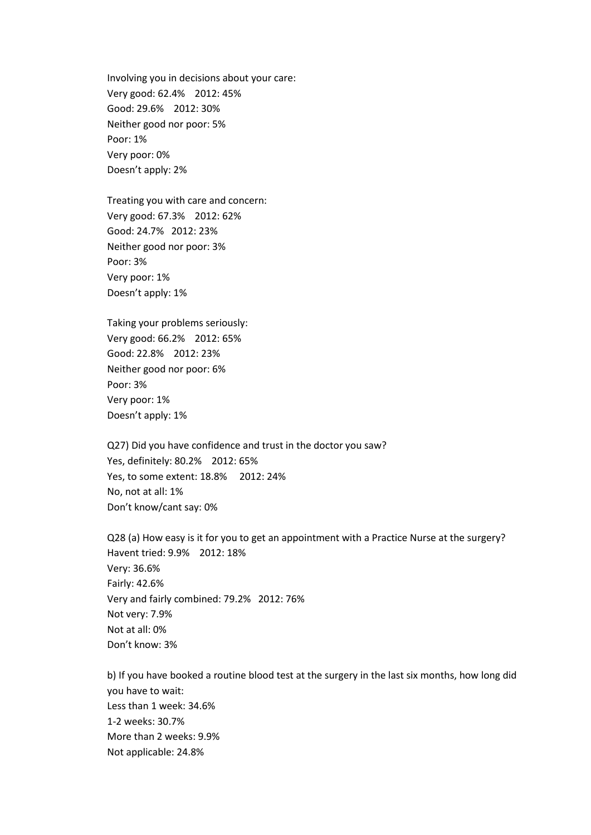Involving you in decisions about your care: Very good: 62.4% 2012: 45% Good: 29.6% 2012: 30% Neither good nor poor: 5% Poor: 1% Very poor: 0% Doesn't apply: 2%

Treating you with care and concern: Very good: 67.3% 2012: 62% Good: 24.7% 2012: 23% Neither good nor poor: 3% Poor: 3% Very poor: 1% Doesn't apply: 1%

Taking your problems seriously: Very good: 66.2% 2012: 65% Good: 22.8% 2012: 23% Neither good nor poor: 6% Poor: 3% Very poor: 1% Doesn't apply: 1%

Q27) Did you have confidence and trust in the doctor you saw? Yes, definitely: 80.2% 2012: 65% Yes, to some extent: 18.8% 2012: 24% No, not at all: 1% Don't know/cant say: 0%

Q28 (a) How easy is it for you to get an appointment with a Practice Nurse at the surgery? Havent tried: 9.9% 2012: 18% Very: 36.6% Fairly: 42.6% Very and fairly combined: 79.2% 2012: 76% Not very: 7.9% Not at all: 0% Don't know: 3%

b) If you have booked a routine blood test at the surgery in the last six months, how long did you have to wait: Less than 1 week: 34.6% 1-2 weeks: 30.7% More than 2 weeks: 9.9% Not applicable: 24.8%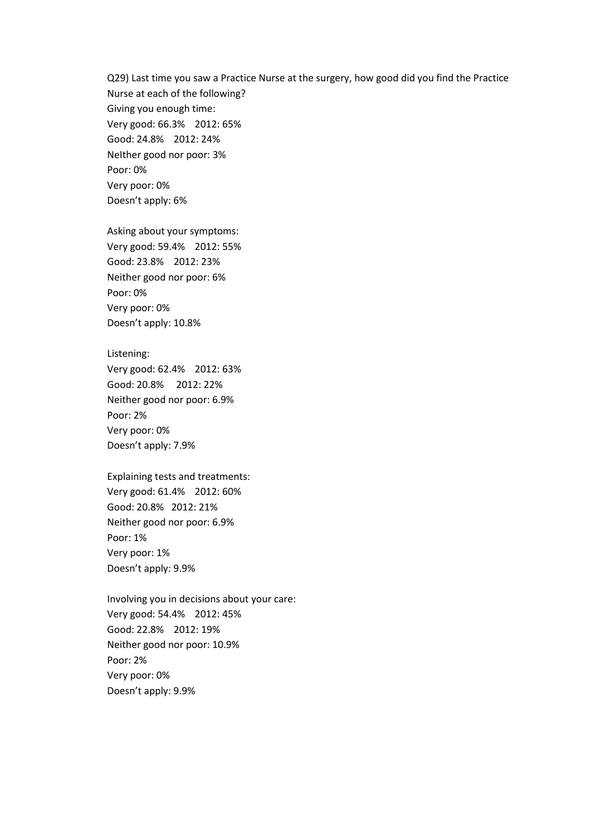Q29) Last time you saw a Practice Nurse at the surgery, how good did you find the Practice Nurse at each of the following? Giving you enough time: Very good: 66.3% 2012: 65% Good: 24.8% 2012: 24% NeIther good nor poor: 3% Poor: 0% Very poor: 0% Doesn't apply: 6%

Asking about your symptoms: Very good: 59.4% 2012: 55% Good: 23.8% 2012: 23% Neither good nor poor: 6% Poor: 0% Very poor: 0% Doesn't apply: 10.8%

Listening: Very good: 62.4% 2012: 63% Good: 20.8% 2012: 22% Neither good nor poor: 6.9% Poor: 2%

Very poor: 0% Doesn't apply: 7.9%

Explaining tests and treatments: Very good: 61.4% 2012: 60% Good: 20.8% 2012: 21% Neither good nor poor: 6.9% Poor: 1% Very poor: 1% Doesn't apply: 9.9%

Involving you in decisions about your care: Very good: 54.4% 2012: 45% Good: 22.8% 2012: 19% Neither good nor poor: 10.9% Poor: 2% Very poor: 0% Doesn't apply: 9.9%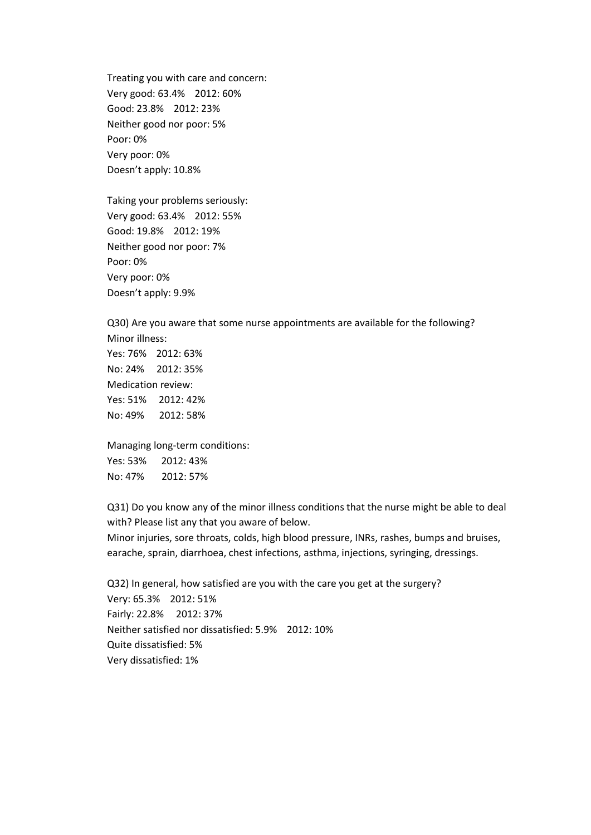Treating you with care and concern: Very good: 63.4% 2012: 60% Good: 23.8% 2012: 23% Neither good nor poor: 5% Poor: 0% Very poor: 0% Doesn't apply: 10.8%

Taking your problems seriously: Very good: 63.4% 2012: 55% Good: 19.8% 2012: 19% Neither good nor poor: 7% Poor: 0% Very poor: 0% Doesn't apply: 9.9%

Q30) Are you aware that some nurse appointments are available for the following? Minor illness: Yes: 76% 2012: 63%

No: 24% 2012: 35% Medication review: Yes: 51% 2012: 42% No: 49% 2012: 58%

Managing long-term conditions: Yes: 53% 2012: 43% No: 47% 2012: 57%

Q31) Do you know any of the minor illness conditions that the nurse might be able to deal with? Please list any that you aware of below.

Minor injuries, sore throats, colds, high blood pressure, INRs, rashes, bumps and bruises, earache, sprain, diarrhoea, chest infections, asthma, injections, syringing, dressings.

Q32) In general, how satisfied are you with the care you get at the surgery? Very: 65.3% 2012: 51% Fairly: 22.8% 2012: 37% Neither satisfied nor dissatisfied: 5.9% 2012: 10% Quite dissatisfied: 5% Very dissatisfied: 1%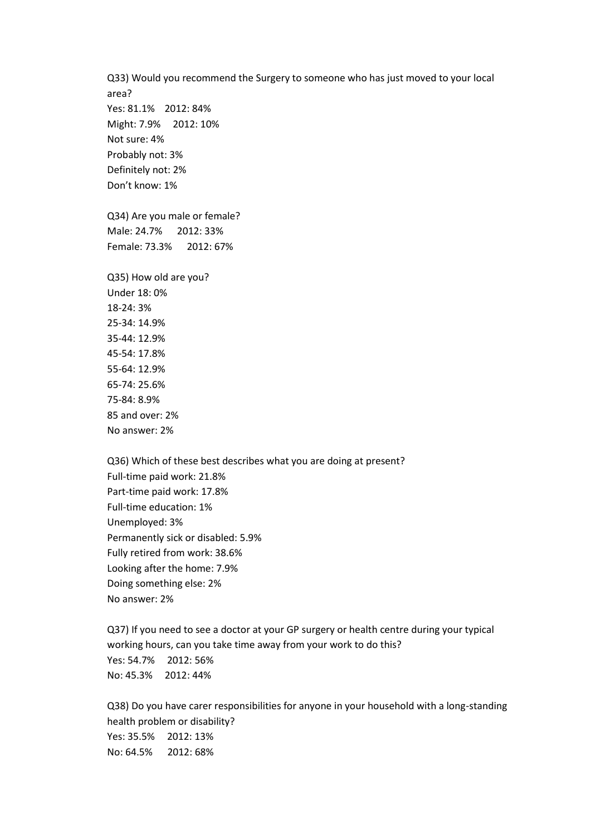Q33) Would you recommend the Surgery to someone who has just moved to your local area? Yes: 81.1% 2012: 84% Might: 7.9% 2012: 10% Not sure: 4% Probably not: 3% Definitely not: 2% Don't know: 1% Q34) Are you male or female? Male: 24.7% 2012: 33% Female: 73.3% 2012: 67% Q35) How old are you? Under 18: 0% 18-24: 3% 25-34: 14.9% 35-44: 12.9% 45-54: 17.8% 55-64: 12.9% 65-74: 25.6% 75-84: 8.9% 85 and over: 2% No answer: 2%

Q36) Which of these best describes what you are doing at present? Full-time paid work: 21.8% Part-time paid work: 17.8% Full-time education: 1% Unemployed: 3% Permanently sick or disabled: 5.9% Fully retired from work: 38.6% Looking after the home: 7.9% Doing something else: 2% No answer: 2%

Q37) If you need to see a doctor at your GP surgery or health centre during your typical working hours, can you take time away from your work to do this? Yes: 54.7% 2012: 56% No: 45.3% 2012: 44%

Q38) Do you have carer responsibilities for anyone in your household with a long-standing health problem or disability? Yes: 35.5% 2012: 13% No: 64.5% 2012: 68%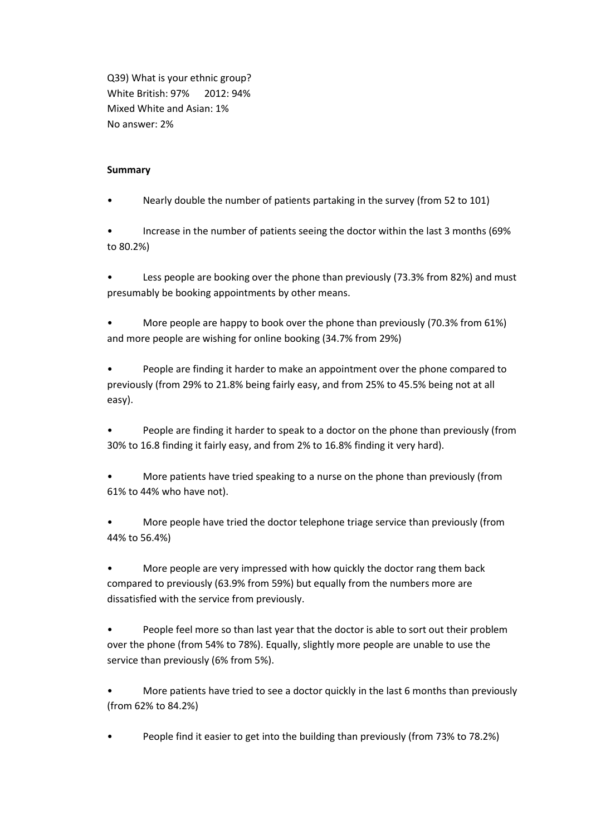Q39) What is your ethnic group? White British: 97% 2012: 94% Mixed White and Asian: 1% No answer: 2%

#### **Summary**

• Nearly double the number of patients partaking in the survey (from 52 to 101)

• Increase in the number of patients seeing the doctor within the last 3 months (69% to 80.2%)

Less people are booking over the phone than previously (73.3% from 82%) and must presumably be booking appointments by other means.

• More people are happy to book over the phone than previously (70.3% from 61%) and more people are wishing for online booking (34.7% from 29%)

• People are finding it harder to make an appointment over the phone compared to previously (from 29% to 21.8% being fairly easy, and from 25% to 45.5% being not at all easy).

• People are finding it harder to speak to a doctor on the phone than previously (from 30% to 16.8 finding it fairly easy, and from 2% to 16.8% finding it very hard).

• More patients have tried speaking to a nurse on the phone than previously (from 61% to 44% who have not).

• More people have tried the doctor telephone triage service than previously (from 44% to 56.4%)

• More people are very impressed with how quickly the doctor rang them back compared to previously (63.9% from 59%) but equally from the numbers more are dissatisfied with the service from previously.

People feel more so than last year that the doctor is able to sort out their problem over the phone (from 54% to 78%). Equally, slightly more people are unable to use the service than previously (6% from 5%).

• More patients have tried to see a doctor quickly in the last 6 months than previously (from 62% to 84.2%)

• People find it easier to get into the building than previously (from 73% to 78.2%)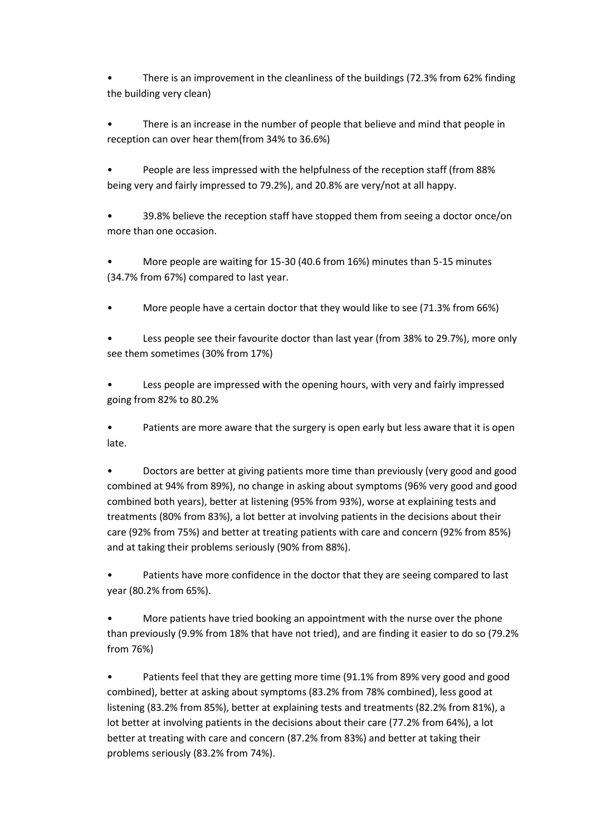• There is an improvement in the cleanliness of the buildings (72.3% from 62% finding the building very clean)

There is an increase in the number of people that believe and mind that people in reception can over hear them(from 34% to 36.6%)

• People are less impressed with the helpfulness of the reception staff (from 88% being very and fairly impressed to 79.2%), and 20.8% are very/not at all happy.

• 39.8% believe the reception staff have stopped them from seeing a doctor once/on more than one occasion.

• More people are waiting for 15-30 (40.6 from 16%) minutes than 5-15 minutes (34.7% from 67%) compared to last year.

• More people have a certain doctor that they would like to see (71.3% from 66%)

Less people see their favourite doctor than last year (from 38% to 29.7%), more only see them sometimes (30% from 17%)

Less people are impressed with the opening hours, with very and fairly impressed going from 82% to 80.2%

• Patients are more aware that the surgery is open early but less aware that it is open late.

• Doctors are better at giving patients more time than previously (very good and good combined at 94% from 89%), no change in asking about symptoms (96% very good and good combined both years), better at listening (95% from 93%), worse at explaining tests and treatments (80% from 83%), a lot better at involving patients in the decisions about their care (92% from 75%) and better at treating patients with care and concern (92% from 85%) and at taking their problems seriously (90% from 88%).

Patients have more confidence in the doctor that they are seeing compared to last year (80.2% from 65%).

• More patients have tried booking an appointment with the nurse over the phone than previously (9.9% from 18% that have not tried), and are finding it easier to do so (79.2% from 76%)

• Patients feel that they are getting more time (91.1% from 89% very good and good combined), better at asking about symptoms (83.2% from 78% combined), less good at listening (83.2% from 85%), better at explaining tests and treatments (82.2% from 81%), a lot better at involving patients in the decisions about their care (77.2% from 64%), a lot better at treating with care and concern (87.2% from 83%) and better at taking their problems seriously (83.2% from 74%).